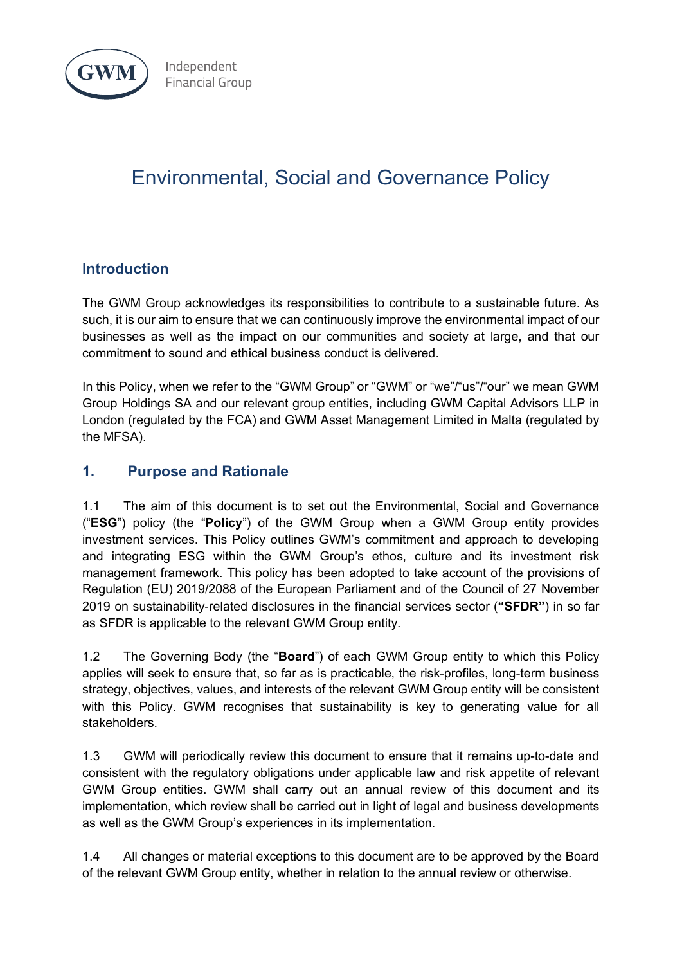

# Environmental, Social and Governance Policy

# **Introduction**

The GWM Group acknowledges its responsibilities to contribute to a sustainable future. As such, it is our aim to ensure that we can continuously improve the environmental impact of our businesses as well as the impact on our communities and society at large, and that our commitment to sound and ethical business conduct is delivered.

In this Policy, when we refer to the "GWM Group" or "GWM" or "we"/"us"/"our" we mean GWM Group Holdings SA and our relevant group entities, including GWM Capital Advisors LLP in London (regulated by the FCA) and GWM Asset Management Limited in Malta (regulated by the MFSA).

# **1. Purpose and Rationale**

1.1 The aim of this document is to set out the Environmental, Social and Governance ("**ESG**") policy (the "**Policy**") of the GWM Group when a GWM Group entity provides investment services. This Policy outlines GWM's commitment and approach to developing and integrating ESG within the GWM Group's ethos, culture and its investment risk management framework. This policy has been adopted to take account of the provisions of Regulation (EU) 2019/2088 of the European Parliament and of the Council of 27 November 2019 on sustainability-related disclosures in the financial services sector (**"SFDR"**) in so far as SFDR is applicable to the relevant GWM Group entity.

1.2 The Governing Body (the "**Board**") of each GWM Group entity to which this Policy applies will seek to ensure that, so far as is practicable, the risk-profiles, long-term business strategy, objectives, values, and interests of the relevant GWM Group entity will be consistent with this Policy. GWM recognises that sustainability is key to generating value for all stakeholders.

1.3 GWM will periodically review this document to ensure that it remains up-to-date and consistent with the regulatory obligations under applicable law and risk appetite of relevant GWM Group entities. GWM shall carry out an annual review of this document and its implementation, which review shall be carried out in light of legal and business developments as well as the GWM Group's experiences in its implementation.

1.4 All changes or material exceptions to this document are to be approved by the Board of the relevant GWM Group entity, whether in relation to the annual review or otherwise.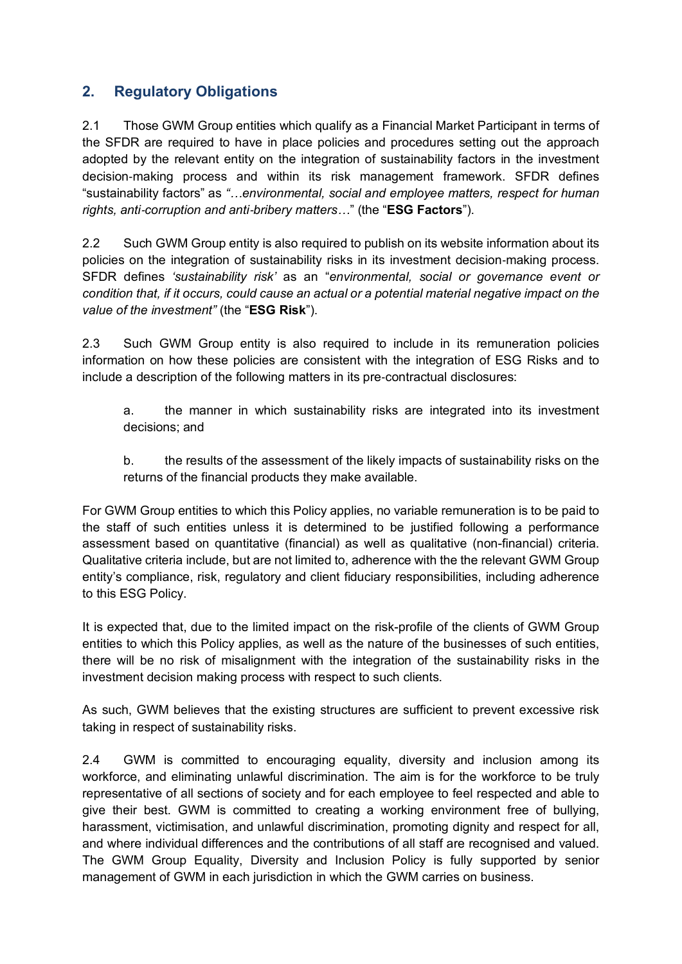# **2. Regulatory Obligations**

2.1 Those GWM Group entities which qualify as a Financial Market Participant in terms of the SFDR are required to have in place policies and procedures setting out the approach adopted by the relevant entity on the integration of sustainability factors in the investment decision-making process and within its risk management framework. SFDR defines "sustainability factors" as *"…environmental, social and employee matters, respect for human rights, anti*-*corruption and anti*-*bribery matters…*" (the "**ESG Factors**").

2.2 Such GWM Group entity is also required to publish on its website information about its policies on the integration of sustainability risks in its investment decision-making process. SFDR defines *'sustainability risk'* as an "*environmental, social or governance event or condition that, if it occurs, could cause an actual or a potential material negative impact on the value of the investment"* (the "**ESG Risk**").

2.3 Such GWM Group entity is also required to include in its remuneration policies information on how these policies are consistent with the integration of ESG Risks and to include a description of the following matters in its pre-contractual disclosures:

a. the manner in which sustainability risks are integrated into its investment decisions; and

b. the results of the assessment of the likely impacts of sustainability risks on the returns of the financial products they make available.

For GWM Group entities to which this Policy applies, no variable remuneration is to be paid to the staff of such entities unless it is determined to be justified following a performance assessment based on quantitative (financial) as well as qualitative (non-financial) criteria. Qualitative criteria include, but are not limited to, adherence with the the relevant GWM Group entity's compliance, risk, regulatory and client fiduciary responsibilities, including adherence to this ESG Policy.

It is expected that, due to the limited impact on the risk-profile of the clients of GWM Group entities to which this Policy applies, as well as the nature of the businesses of such entities, there will be no risk of misalignment with the integration of the sustainability risks in the investment decision making process with respect to such clients.

As such, GWM believes that the existing structures are sufficient to prevent excessive risk taking in respect of sustainability risks.

2.4 GWM is committed to encouraging equality, diversity and inclusion among its workforce, and eliminating unlawful discrimination. The aim is for the workforce to be truly representative of all sections of society and for each employee to feel respected and able to give their best. GWM is committed to creating a working environment free of bullying, harassment, victimisation, and unlawful discrimination, promoting dignity and respect for all, and where individual differences and the contributions of all staff are recognised and valued. The GWM Group Equality, Diversity and Inclusion Policy is fully supported by senior management of GWM in each jurisdiction in which the GWM carries on business.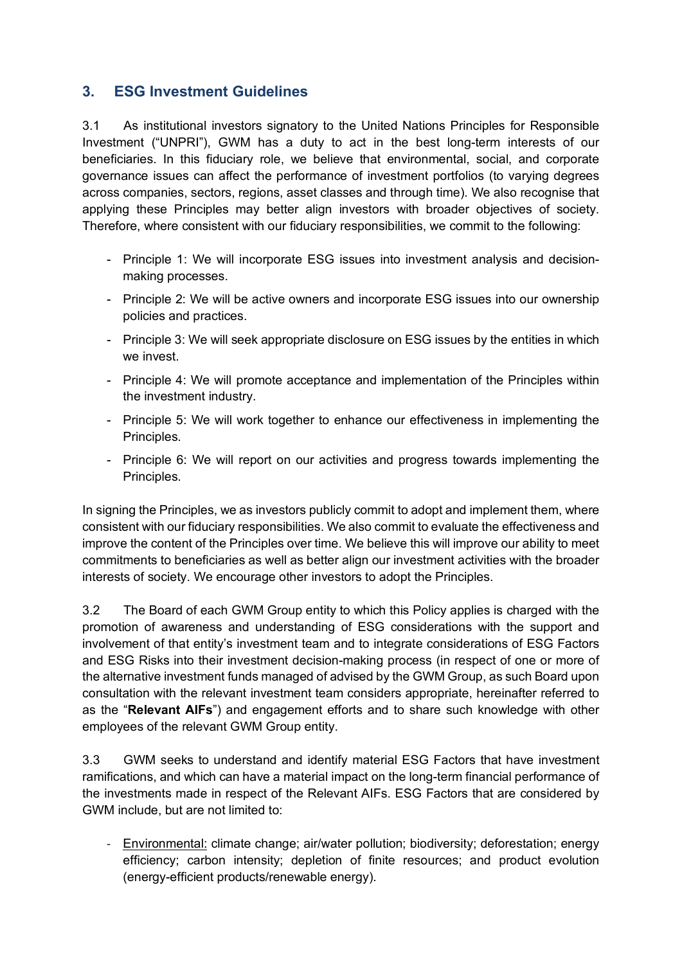# **3. ESG Investment Guidelines**

3.1 As institutional investors signatory to the United Nations Principles for Responsible Investment ("UNPRI"), GWM has a duty to act in the best long-term interests of our beneficiaries. In this fiduciary role, we believe that environmental, social, and corporate governance issues can affect the performance of investment portfolios (to varying degrees across companies, sectors, regions, asset classes and through time). We also recognise that applying these Principles may better align investors with broader objectives of society. Therefore, where consistent with our fiduciary responsibilities, we commit to the following:

- Principle 1: We will incorporate ESG issues into investment analysis and decisionmaking processes.
- Principle 2: We will be active owners and incorporate ESG issues into our ownership policies and practices.
- Principle 3: We will seek appropriate disclosure on ESG issues by the entities in which we invest.
- Principle 4: We will promote acceptance and implementation of the Principles within the investment industry.
- Principle 5: We will work together to enhance our effectiveness in implementing the Principles.
- Principle 6: We will report on our activities and progress towards implementing the Principles.

In signing the Principles, we as investors publicly commit to adopt and implement them, where consistent with our fiduciary responsibilities. We also commit to evaluate the effectiveness and improve the content of the Principles over time. We believe this will improve our ability to meet commitments to beneficiaries as well as better align our investment activities with the broader interests of society. We encourage other investors to adopt the Principles.

3.2 The Board of each GWM Group entity to which this Policy applies is charged with the promotion of awareness and understanding of ESG considerations with the support and involvement of that entity's investment team and to integrate considerations of ESG Factors and ESG Risks into their investment decision-making process (in respect of one or more of the alternative investment funds managed of advised by the GWM Group, as such Board upon consultation with the relevant investment team considers appropriate, hereinafter referred to as the "**Relevant AIFs**") and engagement efforts and to share such knowledge with other employees of the relevant GWM Group entity.

3.3 GWM seeks to understand and identify material ESG Factors that have investment ramifications, and which can have a material impact on the long-term financial performance of the investments made in respect of the Relevant AIFs. ESG Factors that are considered by GWM include, but are not limited to:

- Environmental: climate change; air/water pollution; biodiversity; deforestation; energy efficiency; carbon intensity; depletion of finite resources; and product evolution (energy-efficient products/renewable energy).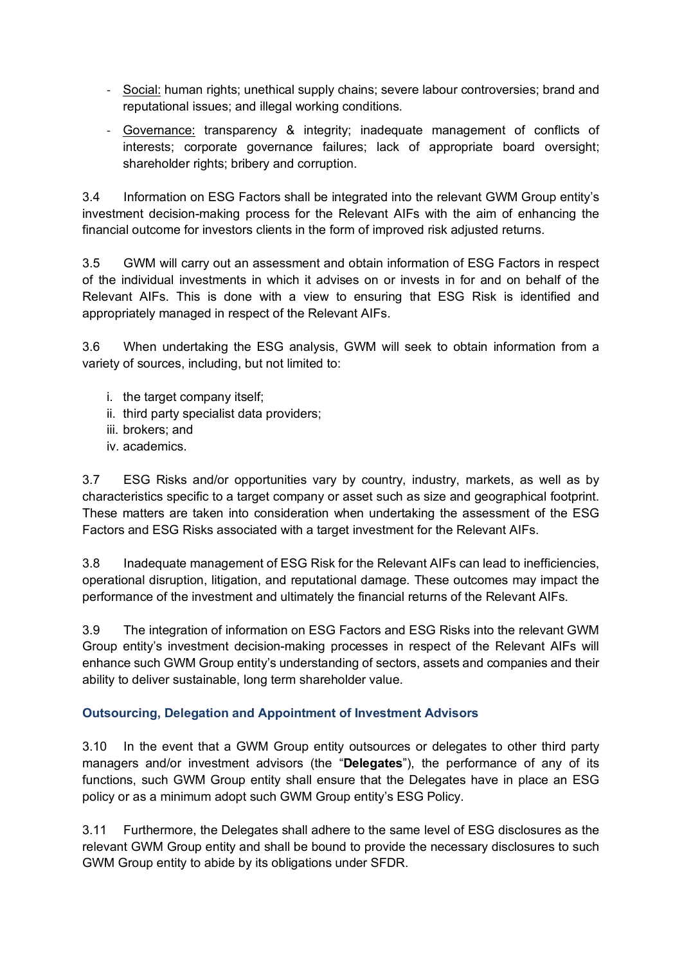- Social: human rights; unethical supply chains; severe labour controversies; brand and reputational issues; and illegal working conditions.
- Governance: transparency & integrity; inadequate management of conflicts of interests; corporate governance failures; lack of appropriate board oversight; shareholder rights; bribery and corruption.

3.4 Information on ESG Factors shall be integrated into the relevant GWM Group entity's investment decision-making process for the Relevant AIFs with the aim of enhancing the financial outcome for investors clients in the form of improved risk adjusted returns.

3.5 GWM will carry out an assessment and obtain information of ESG Factors in respect of the individual investments in which it advises on or invests in for and on behalf of the Relevant AIFs. This is done with a view to ensuring that ESG Risk is identified and appropriately managed in respect of the Relevant AIFs.

3.6 When undertaking the ESG analysis, GWM will seek to obtain information from a variety of sources, including, but not limited to:

- i. the target company itself;
- ii. third party specialist data providers;
- iii. brokers; and
- iv. academics.

3.7 ESG Risks and/or opportunities vary by country, industry, markets, as well as by characteristics specific to a target company or asset such as size and geographical footprint. These matters are taken into consideration when undertaking the assessment of the ESG Factors and ESG Risks associated with a target investment for the Relevant AIFs.

3.8 Inadequate management of ESG Risk for the Relevant AIFs can lead to inefficiencies, operational disruption, litigation, and reputational damage. These outcomes may impact the performance of the investment and ultimately the financial returns of the Relevant AIFs.

3.9 The integration of information on ESG Factors and ESG Risks into the relevant GWM Group entity's investment decision-making processes in respect of the Relevant AIFs will enhance such GWM Group entity's understanding of sectors, assets and companies and their ability to deliver sustainable, long term shareholder value.

## **Outsourcing, Delegation and Appointment of Investment Advisors**

3.10 In the event that a GWM Group entity outsources or delegates to other third party managers and/or investment advisors (the "**Delegates**"), the performance of any of its functions, such GWM Group entity shall ensure that the Delegates have in place an ESG policy or as a minimum adopt such GWM Group entity's ESG Policy.

3.11 Furthermore, the Delegates shall adhere to the same level of ESG disclosures as the relevant GWM Group entity and shall be bound to provide the necessary disclosures to such GWM Group entity to abide by its obligations under SFDR.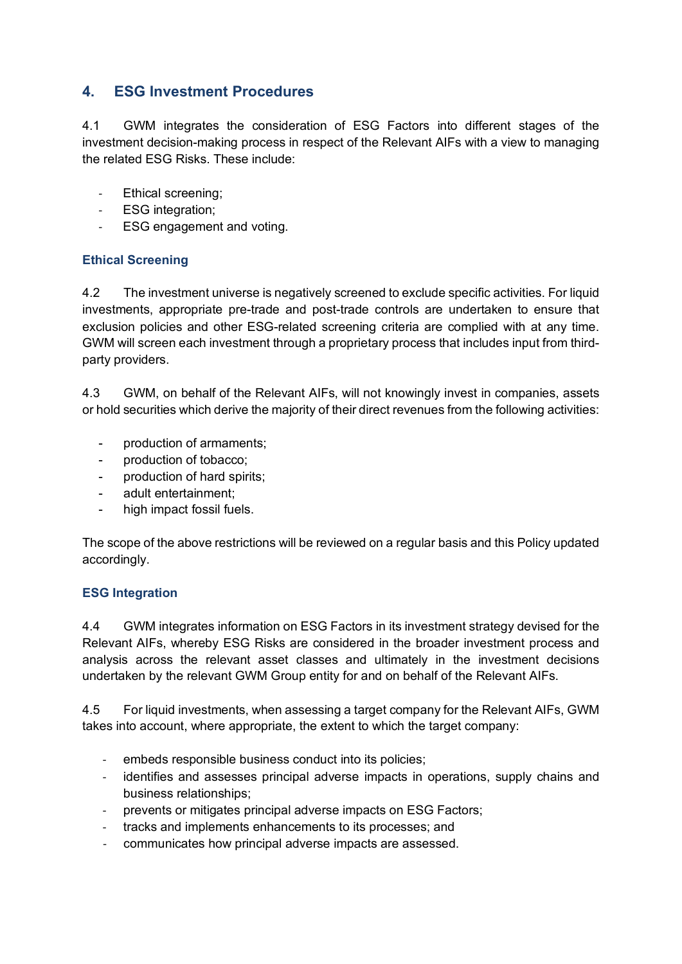# **4. ESG Investment Procedures**

4.1 GWM integrates the consideration of ESG Factors into different stages of the investment decision-making process in respect of the Relevant AIFs with a view to managing the related ESG Risks. These include:

- Ethical screening;
- ESG integration;
- ESG engagement and voting.

#### **Ethical Screening**

4.2 The investment universe is negatively screened to exclude specific activities. For liquid investments, appropriate pre-trade and post-trade controls are undertaken to ensure that exclusion policies and other ESG-related screening criteria are complied with at any time. GWM will screen each investment through a proprietary process that includes input from thirdparty providers.

4.3 GWM, on behalf of the Relevant AIFs, will not knowingly invest in companies, assets or hold securities which derive the majority of their direct revenues from the following activities:

- production of armaments;
- production of tobacco:
- production of hard spirits;
- adult entertainment;
- high impact fossil fuels.

The scope of the above restrictions will be reviewed on a regular basis and this Policy updated accordingly.

#### **ESG Integration**

4.4 GWM integrates information on ESG Factors in its investment strategy devised for the Relevant AIFs, whereby ESG Risks are considered in the broader investment process and analysis across the relevant asset classes and ultimately in the investment decisions undertaken by the relevant GWM Group entity for and on behalf of the Relevant AIFs.

4.5 For liquid investments, when assessing a target company for the Relevant AIFs, GWM takes into account, where appropriate, the extent to which the target company:

- embeds responsible business conduct into its policies;
- identifies and assesses principal adverse impacts in operations, supply chains and business relationships;
- prevents or mitigates principal adverse impacts on ESG Factors;
- tracks and implements enhancements to its processes; and
- communicates how principal adverse impacts are assessed.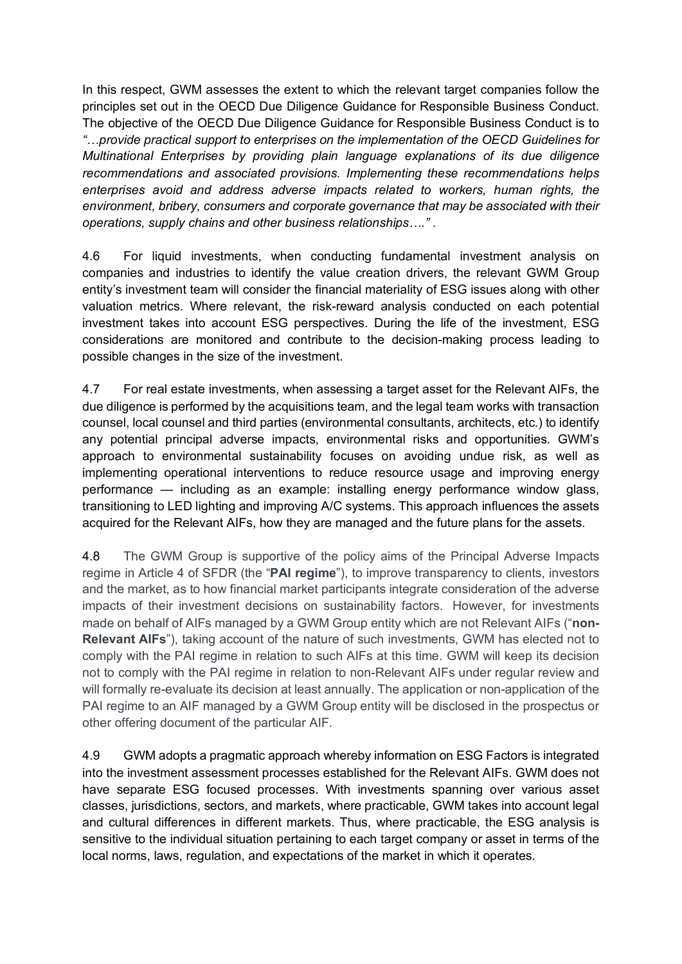In this respect, GWM assesses the extent to which the relevant target companies follow the principles set out in the OECD Due Diligence Guidance for Responsible Business Conduct. The objective of the OECD Due Diligence Guidance for Responsible Business Conduct is to *"…provide practical support to enterprises on the implementation of the OECD Guidelines for Multinational Enterprises by providing plain language explanations of its due diligence recommendations and associated provisions. Implementing these recommendations helps enterprises avoid and address adverse impacts related to workers, human rights, the environment, bribery, consumers and corporate governance that may be associated with their operations, supply chains and other business relationships…."* .

4.6 For liquid investments, when conducting fundamental investment analysis on companies and industries to identify the value creation drivers, the relevant GWM Group entity's investment team will consider the financial materiality of ESG issues along with other valuation metrics. Where relevant, the risk-reward analysis conducted on each potential investment takes into account ESG perspectives. During the life of the investment, ESG considerations are monitored and contribute to the decision-making process leading to possible changes in the size of the investment.

4.7 For real estate investments, when assessing a target asset for the Relevant AIFs, the due diligence is performed by the acquisitions team, and the legal team works with transaction counsel, local counsel and third parties (environmental consultants, architects, etc.) to identify any potential principal adverse impacts, environmental risks and opportunities. GWM's approach to environmental sustainability focuses on avoiding undue risk, as well as implementing operational interventions to reduce resource usage and improving energy performance — including as an example: installing energy performance window glass, transitioning to LED lighting and improving A/C systems. This approach influences the assets acquired for the Relevant AIFs, how they are managed and the future plans for the assets.

4.8 The GWM Group is supportive of the policy aims of the Principal Adverse Impacts regime in Article 4 of SFDR (the "**PAI regime**"), to improve transparency to clients, investors and the market, as to how financial market participants integrate consideration of the adverse impacts of their investment decisions on sustainability factors. However, for investments made on behalf of AIFs managed by a GWM Group entity which are not Relevant AIFs ("**non-Relevant AIFs**"), taking account of the nature of such investments, GWM has elected not to comply with the PAI regime in relation to such AIFs at this time. GWM will keep its decision not to comply with the PAI regime in relation to non-Relevant AIFs under regular review and will formally re-evaluate its decision at least annually. The application or non-application of the PAI regime to an AIF managed by a GWM Group entity will be disclosed in the prospectus or other offering document of the particular AIF.

4.9 GWM adopts a pragmatic approach whereby information on ESG Factors is integrated into the investment assessment processes established for the Relevant AIFs. GWM does not have separate ESG focused processes. With investments spanning over various asset classes, jurisdictions, sectors, and markets, where practicable, GWM takes into account legal and cultural differences in different markets. Thus, where practicable, the ESG analysis is sensitive to the individual situation pertaining to each target company or asset in terms of the local norms, laws, regulation, and expectations of the market in which it operates.